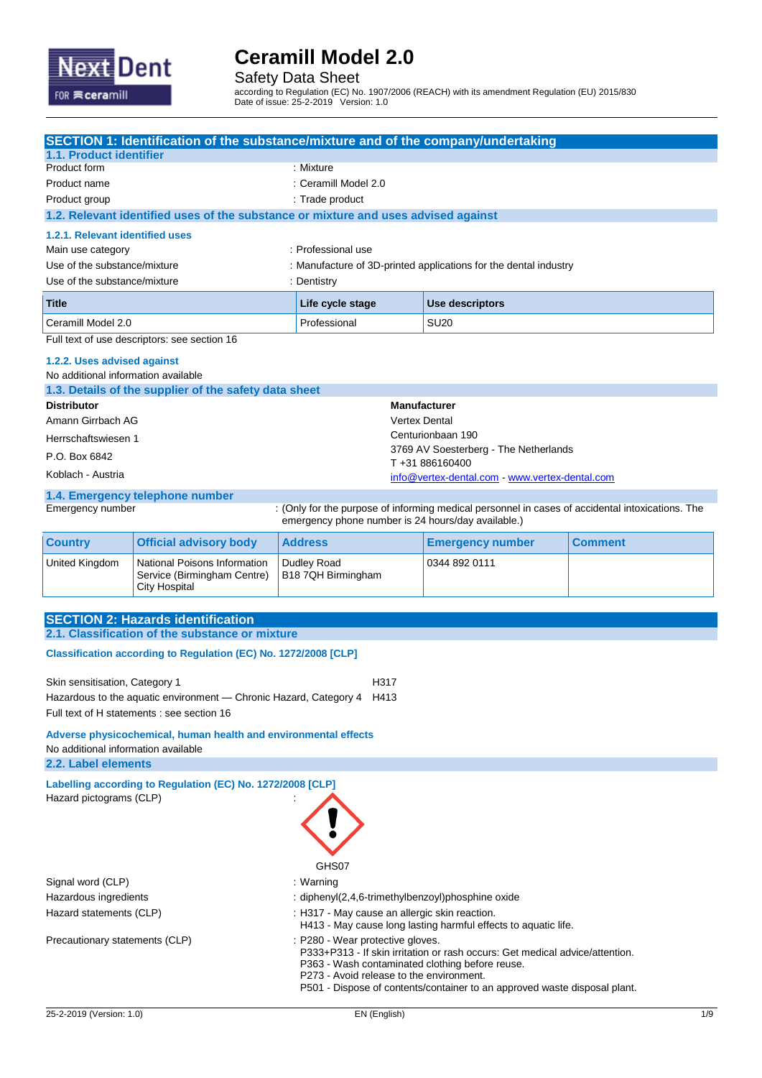

Safety Data Sheet

according to Regulation (EC) No. 1907/2006 (REACH) with its amendment Regulation (EU) 2015/830 Date of issue: 25-2-2019 Version: 1.0

|                                                     | SECTION 1: Identification of the substance/mixture and of the company/undertaking   |                                                                                                                 |                      |                                                                                                                                                                                                              |                |
|-----------------------------------------------------|-------------------------------------------------------------------------------------|-----------------------------------------------------------------------------------------------------------------|----------------------|--------------------------------------------------------------------------------------------------------------------------------------------------------------------------------------------------------------|----------------|
| 1.1. Product identifier<br>Product form             |                                                                                     | : Mixture                                                                                                       |                      |                                                                                                                                                                                                              |                |
| Product name                                        |                                                                                     | : Ceramill Model 2.0                                                                                            |                      |                                                                                                                                                                                                              |                |
| Product group                                       |                                                                                     | : Trade product                                                                                                 |                      |                                                                                                                                                                                                              |                |
|                                                     | 1.2. Relevant identified uses of the substance or mixture and uses advised against  |                                                                                                                 |                      |                                                                                                                                                                                                              |                |
| 1.2.1. Relevant identified uses                     |                                                                                     |                                                                                                                 |                      |                                                                                                                                                                                                              |                |
| Main use category                                   |                                                                                     | : Professional use                                                                                              |                      |                                                                                                                                                                                                              |                |
| Use of the substance/mixture                        |                                                                                     |                                                                                                                 |                      | : Manufacture of 3D-printed applications for the dental industry                                                                                                                                             |                |
| Use of the substance/mixture                        |                                                                                     | : Dentistry                                                                                                     |                      |                                                                                                                                                                                                              |                |
| Title                                               |                                                                                     | Life cycle stage<br>Use descriptors                                                                             |                      |                                                                                                                                                                                                              |                |
| Ceramill Model 2.0                                  |                                                                                     | Professional                                                                                                    |                      | <b>SU20</b>                                                                                                                                                                                                  |                |
|                                                     | Full text of use descriptors: see section 16                                        |                                                                                                                 |                      |                                                                                                                                                                                                              |                |
| 1.2.2. Uses advised against                         |                                                                                     |                                                                                                                 |                      |                                                                                                                                                                                                              |                |
| No additional information available                 |                                                                                     |                                                                                                                 |                      |                                                                                                                                                                                                              |                |
| <b>Distributor</b>                                  | 1.3. Details of the supplier of the safety data sheet                               |                                                                                                                 |                      |                                                                                                                                                                                                              |                |
| Amann Girrbach AG                                   |                                                                                     |                                                                                                                 | <b>Vertex Dental</b> | <b>Manufacturer</b>                                                                                                                                                                                          |                |
|                                                     |                                                                                     |                                                                                                                 |                      | Centurionbaan 190                                                                                                                                                                                            |                |
| Herrschaftswiesen 1                                 |                                                                                     |                                                                                                                 |                      | 3769 AV Soesterberg - The Netherlands                                                                                                                                                                        |                |
| P.O. Box 6842                                       |                                                                                     |                                                                                                                 |                      | T+31886160400                                                                                                                                                                                                |                |
| Koblach - Austria                                   |                                                                                     |                                                                                                                 |                      | info@vertex-dental.com - www.vertex-dental.com                                                                                                                                                               |                |
| 1.4. Emergency telephone number<br>Emergency number |                                                                                     | emergency phone number is 24 hours/day available.)                                                              |                      | : (Only for the purpose of informing medical personnel in cases of accidental intoxications. The                                                                                                             |                |
| <b>Country</b>                                      | <b>Official advisory body</b>                                                       | <b>Address</b>                                                                                                  |                      | <b>Emergency number</b>                                                                                                                                                                                      | <b>Comment</b> |
| United Kingdom                                      | National Poisons Information<br>Service (Birmingham Centre)<br><b>City Hospital</b> | Dudley Road<br>B18 7QH Birmingham                                                                               |                      | 0344 892 0111                                                                                                                                                                                                |                |
|                                                     |                                                                                     |                                                                                                                 |                      |                                                                                                                                                                                                              |                |
|                                                     | <b>SECTION 2: Hazards identification</b>                                            |                                                                                                                 |                      |                                                                                                                                                                                                              |                |
|                                                     | 2.1. Classification of the substance or mixture                                     |                                                                                                                 |                      |                                                                                                                                                                                                              |                |
|                                                     | Classification according to Regulation (EC) No. 1272/2008 [CLP]                     |                                                                                                                 |                      |                                                                                                                                                                                                              |                |
| Skin sensitisation, Category 1                      |                                                                                     | H317                                                                                                            |                      |                                                                                                                                                                                                              |                |
|                                                     | Hazardous to the aquatic environment — Chronic Hazard, Category 4 H413              |                                                                                                                 |                      |                                                                                                                                                                                                              |                |
|                                                     | Full text of H statements : see section 16                                          |                                                                                                                 |                      |                                                                                                                                                                                                              |                |
| No additional information available                 | Adverse physicochemical, human health and environmental effects                     |                                                                                                                 |                      |                                                                                                                                                                                                              |                |
| 2.2. Label elements                                 |                                                                                     |                                                                                                                 |                      |                                                                                                                                                                                                              |                |
| Hazard pictograms (CLP)                             | Labelling according to Regulation (EC) No. 1272/2008 [CLP]                          |                                                                                                                 |                      |                                                                                                                                                                                                              |                |
|                                                     |                                                                                     | GHS07                                                                                                           |                      |                                                                                                                                                                                                              |                |
| Signal word (CLP)                                   |                                                                                     | : Warning                                                                                                       |                      |                                                                                                                                                                                                              |                |
| Hazardous ingredients                               |                                                                                     | : diphenyl(2,4,6-trimethylbenzoyl)phosphine oxide                                                               |                      |                                                                                                                                                                                                              |                |
| Hazard statements (CLP)                             |                                                                                     | : H317 - May cause an allergic skin reaction.<br>H413 - May cause long lasting harmful effects to aquatic life. |                      |                                                                                                                                                                                                              |                |
| Precautionary statements (CLP)                      |                                                                                     | : P280 - Wear protective gloves.<br>P273 - Avoid release to the environment.                                    |                      | P333+P313 - If skin irritation or rash occurs: Get medical advice/attention.<br>P363 - Wash contaminated clothing before reuse.<br>P501 - Dispose of contents/container to an approved waste disposal plant. |                |
| 25-2-2019 (Version: 1.0)                            |                                                                                     | EN (English)                                                                                                    |                      |                                                                                                                                                                                                              | 1/9            |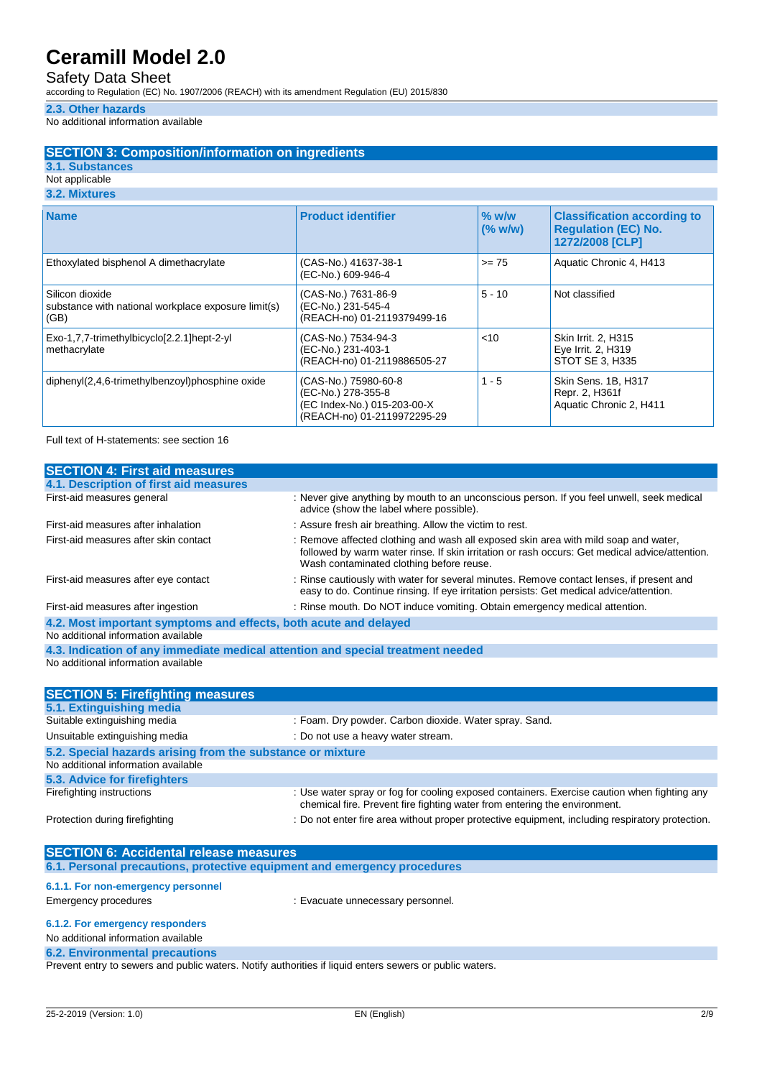### Safety Data Sheet

according to Regulation (EC) No. 1907/2006 (REACH) with its amendment Regulation (EU) 2015/830

### **2.3. Other hazards**

No additional information available

#### **SECTION 3: Composition/information on ingredients**

### **3.1. Substances**

#### Not applicable **3.2. Mixtures**

| <b>Name</b>                                                                    | <b>Product identifier</b>                                                                                | $%$ w/w<br>(% w/w) | <b>Classification according to</b><br><b>Requlation (EC) No.</b><br>1272/2008 [CLP] |
|--------------------------------------------------------------------------------|----------------------------------------------------------------------------------------------------------|--------------------|-------------------------------------------------------------------------------------|
| Ethoxylated bisphenol A dimethacrylate                                         | (CAS-No.) 41637-38-1<br>(EC-No.) 609-946-4                                                               | $>= 75$            | Aquatic Chronic 4, H413                                                             |
| Silicon dioxide<br>substance with national workplace exposure limit(s)<br>(GB) | (CAS-No.) 7631-86-9<br>(EC-No.) 231-545-4<br>(REACH-no) 01-2119379499-16                                 | $5 - 10$           | Not classified                                                                      |
| Exo-1,7,7-trimethylbicyclo[2.2.1]hept-2-yl<br>methacrylate                     | (CAS-No.) 7534-94-3<br>(EC-No.) 231-403-1<br>(REACH-no) 01-2119886505-27                                 | $<$ 10             | Skin Irrit. 2, H315<br>Eye Irrit. 2, H319<br>STOT SE 3. H335                        |
| diphenyl(2,4,6-trimethylbenzoyl)phosphine oxide                                | (CAS-No.) 75980-60-8<br>(EC-No.) 278-355-8<br>(EC Index-No.) 015-203-00-X<br>(REACH-no) 01-2119972295-29 | $1 - 5$            | Skin Sens. 1B, H317<br>Repr. 2, H361f<br>Aquatic Chronic 2, H411                    |

Full text of H-statements: see section 16

| <b>SECTION 4: First aid measures</b>                             |                                                                                                                                                                                                                                   |
|------------------------------------------------------------------|-----------------------------------------------------------------------------------------------------------------------------------------------------------------------------------------------------------------------------------|
| 4.1. Description of first aid measures                           |                                                                                                                                                                                                                                   |
| First-aid measures general                                       | : Never give anything by mouth to an unconscious person. If you feel unwell, seek medical<br>advice (show the label where possible).                                                                                              |
| First-aid measures after inhalation                              | : Assure fresh air breathing. Allow the victim to rest.                                                                                                                                                                           |
| First-aid measures after skin contact                            | : Remove affected clothing and wash all exposed skin area with mild soap and water,<br>followed by warm water rinse. If skin irritation or rash occurs: Get medical advice/attention.<br>Wash contaminated clothing before reuse. |
| First-aid measures after eye contact                             | : Rinse cautiously with water for several minutes. Remove contact lenses, if present and<br>easy to do. Continue rinsing. If eye irritation persists: Get medical advice/attention.                                               |
| First-aid measures after ingestion                               | : Rinse mouth. Do NOT induce vomiting. Obtain emergency medical attention.                                                                                                                                                        |
| 4.2. Most important symptoms and effects, both acute and delayed |                                                                                                                                                                                                                                   |
| No additional information available                              |                                                                                                                                                                                                                                   |
|                                                                  | 4.3. Indication of any immediate medical attention and special treatment needed                                                                                                                                                   |
| No additional information available                              |                                                                                                                                                                                                                                   |
|                                                                  |                                                                                                                                                                                                                                   |
| <b>SECTION 5: Firefighting measures</b>                          |                                                                                                                                                                                                                                   |
| 5.1. Extinguishing media                                         |                                                                                                                                                                                                                                   |
| Suitable extinguishing media                                     | : Foam. Dry powder. Carbon dioxide. Water spray. Sand.                                                                                                                                                                            |
| Unsuitable extinguishing media                                   | : Do not use a heavy water stream.                                                                                                                                                                                                |
| 5.2. Special hazards arising from the substance or mixture       |                                                                                                                                                                                                                                   |
| No additional information available                              |                                                                                                                                                                                                                                   |
| 5.3. Advice for firefighters                                     |                                                                                                                                                                                                                                   |
| Firefighting instructions                                        | : Use water spray or fog for cooling exposed containers. Exercise caution when fighting any<br>chemical fire. Prevent fire fighting water from entering the environment.                                                          |
| Protection during firefighting                                   | : Do not enter fire area without proper protective equipment, including respiratory protection.                                                                                                                                   |

| <b>SECTION 6: Accidental release measures</b>                          | 6.1. Personal precautions, protective equipment and emergency procedures |  |
|------------------------------------------------------------------------|--------------------------------------------------------------------------|--|
| 6.1.1. For non-emergency personnel<br>Emergency procedures             | : Evacuate unnecessary personnel.                                        |  |
| 6.1.2. For emergency responders<br>No additional information available |                                                                          |  |
| <b>6.2. Environmental precautions</b>                                  |                                                                          |  |

Prevent entry to sewers and public waters. Notify authorities if liquid enters sewers or public waters.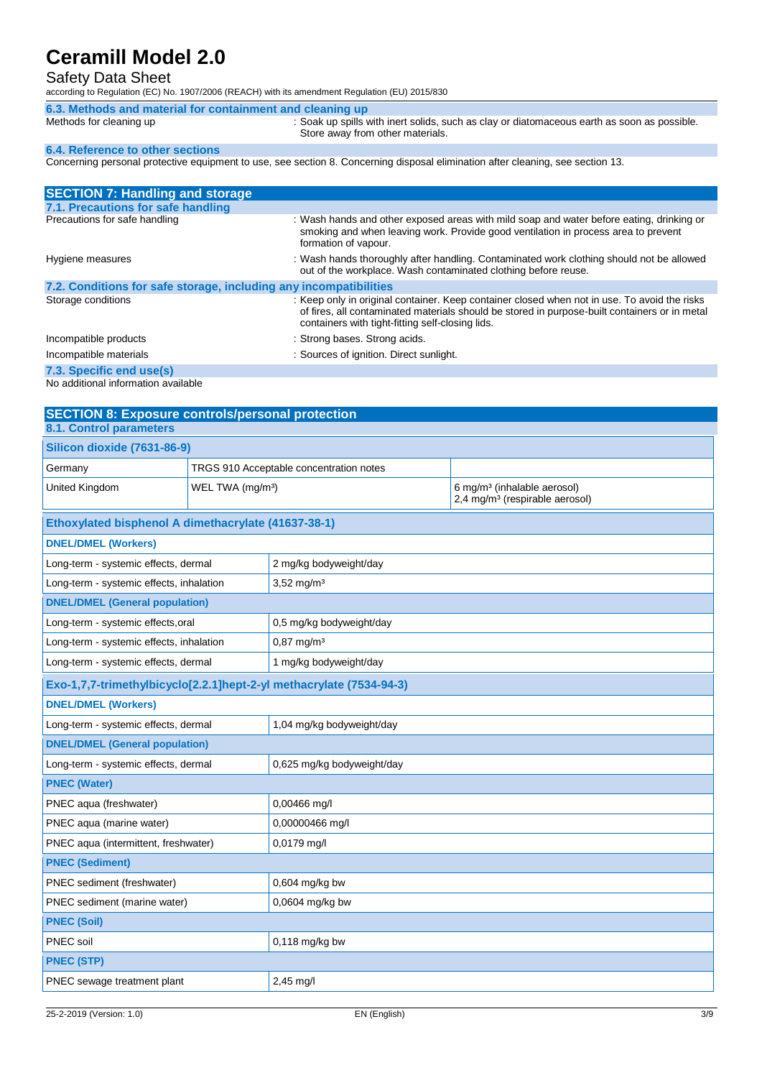### Safety Data Sheet

according to Regulation (EC) No. 1907/2006 (REACH) with its amendment Regulation (EU) 2015/830

| 6.3. Methods and material for containment and cleaning up |                                                                                                                                 |  |
|-----------------------------------------------------------|---------------------------------------------------------------------------------------------------------------------------------|--|
| Methods for cleaning up                                   | : Soak up spills with inert solids, such as clay or diatomaceous earth as soon as possible.<br>Store away from other materials. |  |
| 6.4. Reference to other sections                          |                                                                                                                                 |  |

Concerning personal protective equipment to use, see section 8. Concerning disposal elimination after cleaning, see section 13.

| <b>SECTION 7: Handling and storage</b>                            |                                                                                                                                                                                                                                                   |
|-------------------------------------------------------------------|---------------------------------------------------------------------------------------------------------------------------------------------------------------------------------------------------------------------------------------------------|
| 7.1. Precautions for safe handling                                |                                                                                                                                                                                                                                                   |
| Precautions for safe handling                                     | : Wash hands and other exposed areas with mild soap and water before eating, drinking or<br>smoking and when leaving work. Provide good ventilation in process area to prevent<br>formation of vapour.                                            |
| Hygiene measures                                                  | : Wash hands thoroughly after handling. Contaminated work clothing should not be allowed<br>out of the workplace. Wash contaminated clothing before reuse.                                                                                        |
| 7.2. Conditions for safe storage, including any incompatibilities |                                                                                                                                                                                                                                                   |
| Storage conditions                                                | : Keep only in original container. Keep container closed when not in use. To avoid the risks<br>of fires, all contaminated materials should be stored in purpose-built containers or in metal<br>containers with tight-fitting self-closing lids. |
| Incompatible products                                             | : Strong bases. Strong acids.                                                                                                                                                                                                                     |
| Incompatible materials                                            | : Sources of ignition. Direct sunlight.                                                                                                                                                                                                           |
| 7.3. Specific end use(s)                                          |                                                                                                                                                                                                                                                   |
| あまい しんけいしゅ こししょう シー・パー・シー・パート しょう                                 |                                                                                                                                                                                                                                                   |

No additional information available

| <b>SECTION 8: Exposure controls/personal protection</b>             |                                                     |                                         |                                                                                       |  |
|---------------------------------------------------------------------|-----------------------------------------------------|-----------------------------------------|---------------------------------------------------------------------------------------|--|
| 8.1. Control parameters                                             |                                                     |                                         |                                                                                       |  |
| Silicon dioxide (7631-86-9)                                         |                                                     |                                         |                                                                                       |  |
| Germany                                                             |                                                     | TRGS 910 Acceptable concentration notes |                                                                                       |  |
| United Kingdom                                                      | WEL TWA (mg/m <sup>3</sup> )                        |                                         | 6 mg/m <sup>3</sup> (inhalable aerosol)<br>2,4 mg/m <sup>3</sup> (respirable aerosol) |  |
|                                                                     | Ethoxylated bisphenol A dimethacrylate (41637-38-1) |                                         |                                                                                       |  |
| <b>DNEL/DMEL (Workers)</b>                                          |                                                     |                                         |                                                                                       |  |
| Long-term - systemic effects, dermal                                |                                                     | 2 mg/kg bodyweight/day                  |                                                                                       |  |
| Long-term - systemic effects, inhalation                            |                                                     | $3,52 \text{ mg/m}^3$                   |                                                                                       |  |
| <b>DNEL/DMEL (General population)</b>                               |                                                     |                                         |                                                                                       |  |
| Long-term - systemic effects, oral                                  |                                                     | 0,5 mg/kg bodyweight/day                |                                                                                       |  |
| Long-term - systemic effects, inhalation                            |                                                     | $0.87 \text{ mg/m}^3$                   |                                                                                       |  |
| Long-term - systemic effects, dermal                                |                                                     | 1 mg/kg bodyweight/day                  |                                                                                       |  |
| Exo-1,7,7-trimethylbicyclo[2.2.1]hept-2-yl methacrylate (7534-94-3) |                                                     |                                         |                                                                                       |  |
| <b>DNEL/DMEL (Workers)</b>                                          |                                                     |                                         |                                                                                       |  |
| Long-term - systemic effects, dermal                                |                                                     | 1,04 mg/kg bodyweight/day               |                                                                                       |  |
| <b>DNEL/DMEL (General population)</b>                               |                                                     |                                         |                                                                                       |  |
| Long-term - systemic effects, dermal                                |                                                     | 0,625 mg/kg bodyweight/day              |                                                                                       |  |
| <b>PNEC (Water)</b>                                                 |                                                     |                                         |                                                                                       |  |
| PNEC aqua (freshwater)                                              |                                                     | 0,00466 mg/l                            |                                                                                       |  |
| PNEC aqua (marine water)                                            |                                                     | 0,00000466 mg/l                         |                                                                                       |  |
| PNEC aqua (intermittent, freshwater)                                |                                                     | 0,0179 mg/l                             |                                                                                       |  |
| <b>PNEC (Sediment)</b>                                              |                                                     |                                         |                                                                                       |  |
| PNEC sediment (freshwater)                                          |                                                     | 0,604 mg/kg bw                          |                                                                                       |  |
| PNEC sediment (marine water)                                        |                                                     | 0,0604 mg/kg bw                         |                                                                                       |  |
| <b>PNEC (Soil)</b>                                                  |                                                     |                                         |                                                                                       |  |
| PNEC soil                                                           |                                                     | $0,118$ mg/kg bw                        |                                                                                       |  |
| <b>PNEC (STP)</b>                                                   |                                                     |                                         |                                                                                       |  |
| PNEC sewage treatment plant                                         |                                                     | $2,45$ mg/l                             |                                                                                       |  |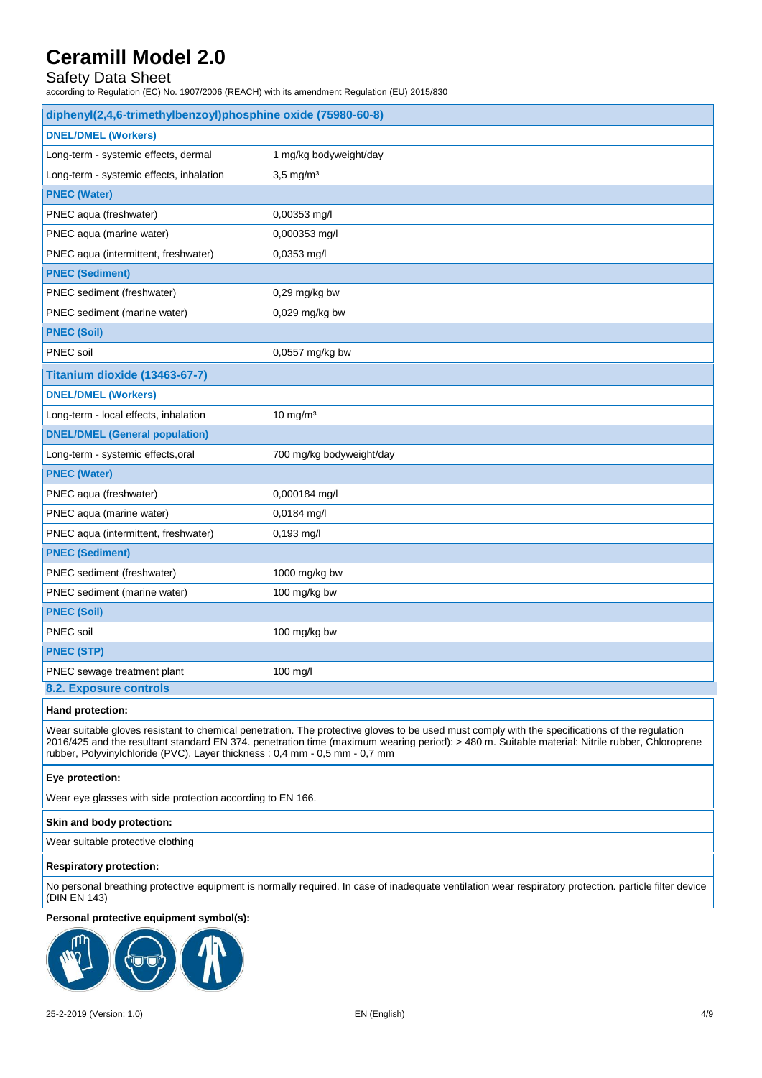# Safety Data Sheet

according to Regulation (EC) No. 1907/2006 (REACH) with its amendment Regulation (EU) 2015/830

| diphenyl(2,4,6-trimethylbenzoyl)phosphine oxide (75980-60-8) |                          |  |
|--------------------------------------------------------------|--------------------------|--|
| <b>DNEL/DMEL (Workers)</b>                                   |                          |  |
| Long-term - systemic effects, dermal                         | 1 mg/kg bodyweight/day   |  |
| Long-term - systemic effects, inhalation                     | $3,5$ mg/m <sup>3</sup>  |  |
| <b>PNEC (Water)</b>                                          |                          |  |
| PNEC aqua (freshwater)                                       | 0,00353 mg/l             |  |
| PNEC aqua (marine water)                                     | 0,000353 mg/l            |  |
| PNEC aqua (intermittent, freshwater)                         | 0,0353 mg/l              |  |
| <b>PNEC (Sediment)</b>                                       |                          |  |
| PNEC sediment (freshwater)                                   | 0,29 mg/kg bw            |  |
| PNEC sediment (marine water)                                 | 0,029 mg/kg bw           |  |
| <b>PNEC (Soil)</b>                                           |                          |  |
| PNEC soil                                                    | 0,0557 mg/kg bw          |  |
| Titanium dioxide (13463-67-7)                                |                          |  |
| <b>DNEL/DMEL (Workers)</b>                                   |                          |  |
| Long-term - local effects, inhalation                        | $10$ mg/m $3$            |  |
| <b>DNEL/DMEL (General population)</b>                        |                          |  |
| Long-term - systemic effects, oral                           | 700 mg/kg bodyweight/day |  |
| <b>PNEC (Water)</b>                                          |                          |  |
| PNEC aqua (freshwater)                                       | 0,000184 mg/l            |  |
| PNEC aqua (marine water)                                     | 0,0184 mg/l              |  |
| PNEC aqua (intermittent, freshwater)                         | 0,193 mg/l               |  |
| <b>PNEC (Sediment)</b>                                       |                          |  |
| PNEC sediment (freshwater)                                   | 1000 mg/kg bw            |  |
| PNEC sediment (marine water)                                 | 100 mg/kg bw             |  |
| <b>PNEC (Soil)</b>                                           |                          |  |
| PNEC soil                                                    | 100 mg/kg bw             |  |
| <b>PNEC (STP)</b>                                            |                          |  |
| PNEC sewage treatment plant                                  | 100 mg/l                 |  |
| 8.2. Exposure controls                                       |                          |  |

#### **Hand protection:**

Wear suitable gloves resistant to chemical penetration. The protective gloves to be used must comply with the specifications of the regulation 2016/425 and the resultant standard EN 374. penetration time (maximum wearing period): > 480 m. Suitable material: Nitrile rubber, Chloroprene rubber, Polyvinylchloride (PVC). Layer thickness : 0,4 mm - 0,5 mm - 0,7 mm

#### **Eye protection:**

Wear eye glasses with side protection according to EN 166.

#### **Skin and body protection:**

Wear suitable protective clothing

#### **Respiratory protection:**

No personal breathing protective equipment is normally required. In case of inadequate ventilation wear respiratory protection. particle filter device (DIN EN 143)

#### **Personal protective equipment symbol(s):**

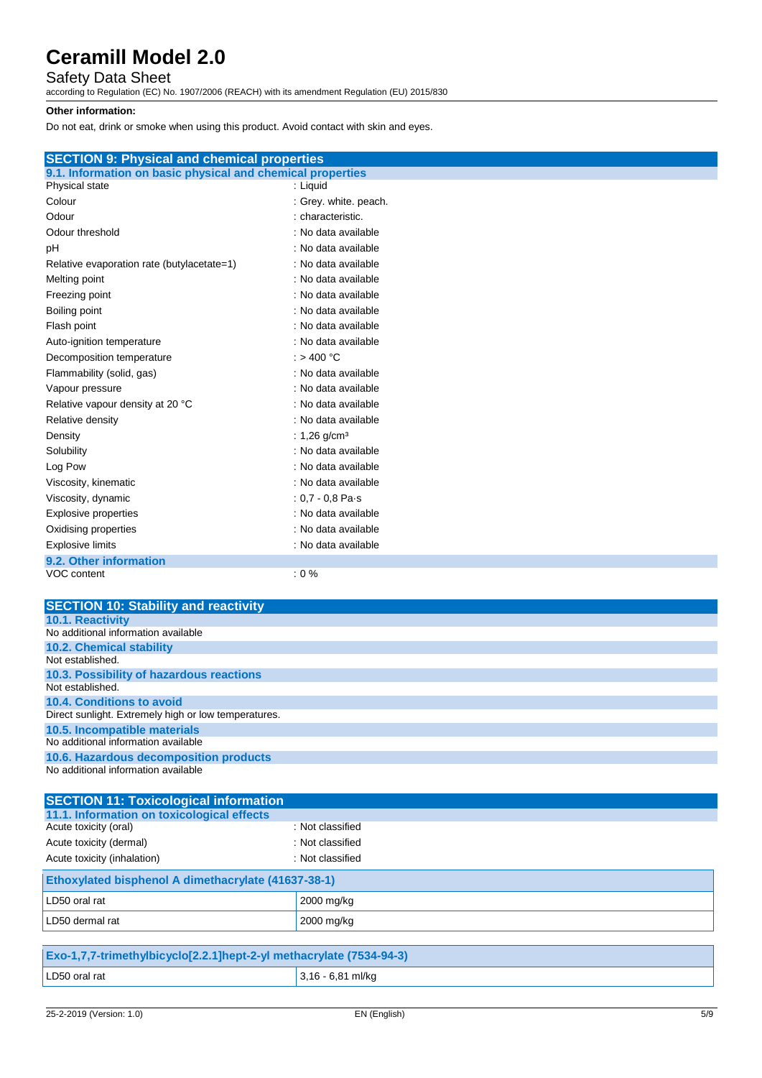### Safety Data Sheet

according to Regulation (EC) No. 1907/2006 (REACH) with its amendment Regulation (EU) 2015/830

#### **Other information:**

Do not eat, drink or smoke when using this product. Avoid contact with skin and eyes.

| <b>SECTION 9: Physical and chemical properties</b>         |                            |  |
|------------------------------------------------------------|----------------------------|--|
| 9.1. Information on basic physical and chemical properties |                            |  |
| Physical state                                             | : Liquid                   |  |
| Colour                                                     | : Grey. white. peach.      |  |
| Odour                                                      | : characteristic.          |  |
| Odour threshold                                            | : No data available        |  |
| pH                                                         | : No data available        |  |
| Relative evaporation rate (butylacetate=1)                 | : No data available        |  |
| Melting point                                              | : No data available        |  |
| Freezing point                                             | : No data available        |  |
| Boiling point                                              | : No data available        |  |
| Flash point                                                | : No data available        |  |
| Auto-ignition temperature                                  | : No data available        |  |
| Decomposition temperature                                  | : $> 400 °C$               |  |
| Flammability (solid, gas)                                  | : No data available        |  |
| Vapour pressure                                            | : No data available        |  |
| Relative vapour density at 20 °C                           | : No data available        |  |
| Relative density                                           | : No data available        |  |
| Density                                                    | : $1,26$ g/cm <sup>3</sup> |  |
| Solubility                                                 | : No data available        |  |
| Log Pow                                                    | : No data available        |  |
| Viscosity, kinematic                                       | : No data available        |  |
| Viscosity, dynamic                                         | : $0.7 - 0.8$ Pa $\cdot$ s |  |
| <b>Explosive properties</b>                                | : No data available        |  |
| Oxidising properties                                       | : No data available        |  |
| <b>Explosive limits</b>                                    | : No data available        |  |
| 9.2. Other information                                     |                            |  |
| <b>VOC content</b>                                         | $: 0 \%$                   |  |

| <b>SECTION 10: Stability and reactivity</b>          |
|------------------------------------------------------|
| <b>10.1. Reactivity</b>                              |
| No additional information available                  |
| <b>10.2. Chemical stability</b>                      |
| Not established.                                     |
| 10.3. Possibility of hazardous reactions             |
| Not established.                                     |
| 10.4. Conditions to avoid                            |
| Direct sunlight. Extremely high or low temperatures. |
| 10.5. Incompatible materials                         |
| No additional information available                  |
| 10.6. Hazardous decomposition products               |
| No additional information available                  |

| <b>SECTION 11: Toxicological information</b>        |                  |  |
|-----------------------------------------------------|------------------|--|
| 11.1. Information on toxicological effects          |                  |  |
| Acute toxicity (oral)                               | : Not classified |  |
| Acute toxicity (dermal)                             | : Not classified |  |
| Acute toxicity (inhalation)                         | : Not classified |  |
| Ethoxylated bisphenol A dimethacrylate (41637-38-1) |                  |  |
| LD50 oral rat                                       | 2000 mg/kg       |  |
| LD50 dermal rat                                     | 2000 mg/kg       |  |
|                                                     |                  |  |

| Exo-1,7,7-trimethylbicyclo[2.2.1]hept-2-yl methacrylate (7534-94-3) |                     |
|---------------------------------------------------------------------|---------------------|
| LD50 oral rat                                                       | $3,16 - 6,81$ ml/kg |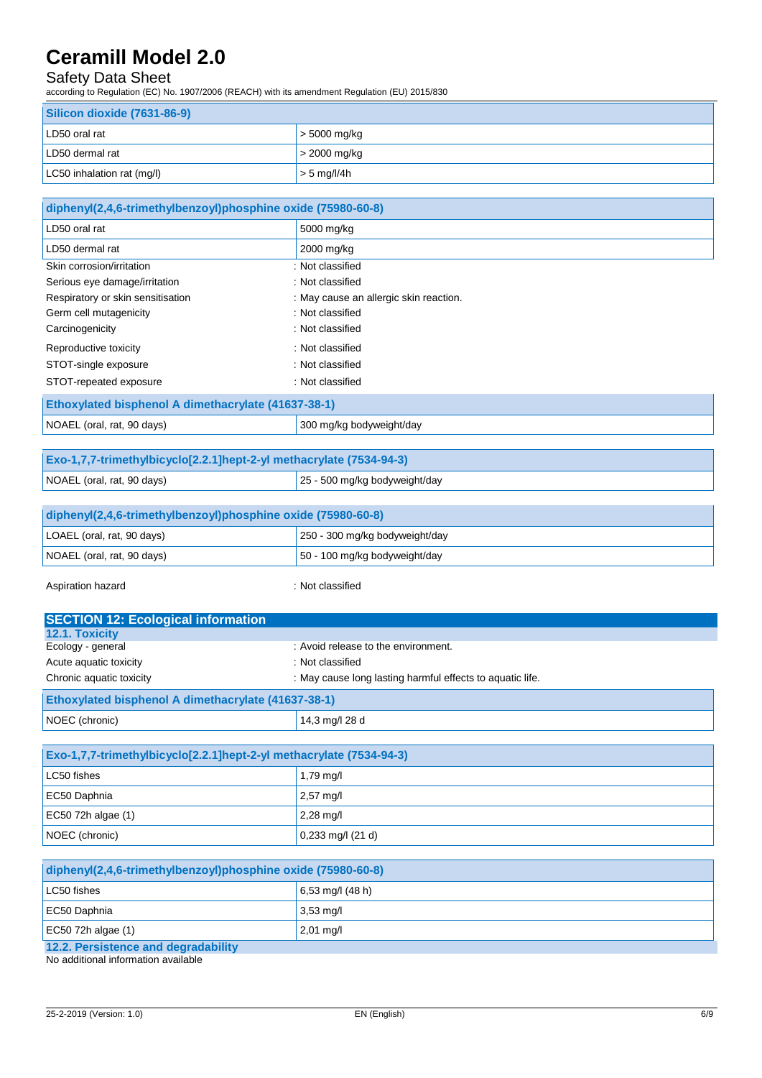# Safety Data Sheet

according to Regulation (EC) No. 1907/2006 (REACH) with its amendment Regulation (EU) 2015/830

| Silicon dioxide (7631-86-9) |                |  |
|-----------------------------|----------------|--|
| LD50 oral rat               | $>$ 5000 mg/kg |  |
| LD50 dermal rat             | $>$ 2000 mg/kg |  |
| LC50 inhalation rat (mg/l)  | $> 5$ mg/l/4h  |  |

| diphenyl(2,4,6-trimethylbenzoyl)phosphine oxide (75980-60-8) |                                        |  |
|--------------------------------------------------------------|----------------------------------------|--|
| LD50 oral rat                                                | 5000 mg/kg                             |  |
| LD50 dermal rat                                              | 2000 mg/kg                             |  |
| Skin corrosion/irritation                                    | : Not classified                       |  |
| Serious eye damage/irritation                                | : Not classified                       |  |
| Respiratory or skin sensitisation                            | : May cause an allergic skin reaction. |  |
| Germ cell mutagenicity                                       | : Not classified                       |  |
| Carcinogenicity                                              | : Not classified                       |  |
| Reproductive toxicity                                        | : Not classified                       |  |
| STOT-single exposure                                         | : Not classified                       |  |
| STOT-repeated exposure                                       | : Not classified                       |  |
| Ethoxylated bisphenol A dimethacrylate (41637-38-1)          |                                        |  |
| NOAEL (oral, rat, 90 days)                                   | 300 mg/kg bodyweight/day               |  |

| Exo-1,7,7-trimethylbicyclo[2.2.1]hept-2-yl methacrylate (7534-94-3) |                                        |  |
|---------------------------------------------------------------------|----------------------------------------|--|
| NOAEL (oral, rat, 90 days)                                          | $\sqrt{25 - 500}$ mg/kg bodyweight/day |  |
|                                                                     |                                        |  |

| diphenyl(2,4,6-trimethylbenzoyl)phosphine oxide (75980-60-8) |                                |  |
|--------------------------------------------------------------|--------------------------------|--|
| LOAEL (oral, rat, 90 days)                                   | 250 - 300 mg/kg bodyweight/day |  |
| NOAEL (oral, rat, 90 days)                                   | 50 - 100 mg/kg bodyweight/day  |  |

Aspiration hazard **in the set of the set of the set of the set of the set of the set of the set of the set of the set of the set of the set of the set of the set of the set of the set of the set of the set of the set of th** 

| <b>SECTION 12: Ecological information</b>                 |  |  |
|-----------------------------------------------------------|--|--|
|                                                           |  |  |
| : Avoid release to the environment.                       |  |  |
| : Not classified                                          |  |  |
| : May cause long lasting harmful effects to aguatic life. |  |  |
| Ethoxylated bisphenol A dimethacrylate (41637-38-1)       |  |  |
| 14,3 mg/l 28 d                                            |  |  |
|                                                           |  |  |

| Exo-1,7,7-trimethylbicyclo[2.2.1]hept-2-yl methacrylate (7534-94-3) |                       |  |
|---------------------------------------------------------------------|-----------------------|--|
| LC50 fishes                                                         | 1,79 mg/l             |  |
| EC50 Daphnia                                                        | $2.57 \text{ m}$ g/l  |  |
| EC50 72h algae $(1)$                                                | $2,28$ mg/l           |  |
| NOEC (chronic)                                                      | $0,233$ mg/l $(21 d)$ |  |

| diphenyl(2,4,6-trimethylbenzoyl)phosphine oxide (75980-60-8) |                     |
|--------------------------------------------------------------|---------------------|
| LC50 fishes                                                  | 6,53 mg/l (48 h)    |
| EC50 Daphnia                                                 | $3.53 \text{ mq/l}$ |
| EC50 72h algae $(1)$                                         | 2,01 mg/l           |
| 12.2. Persistence and degradability                          |                     |

No additional information available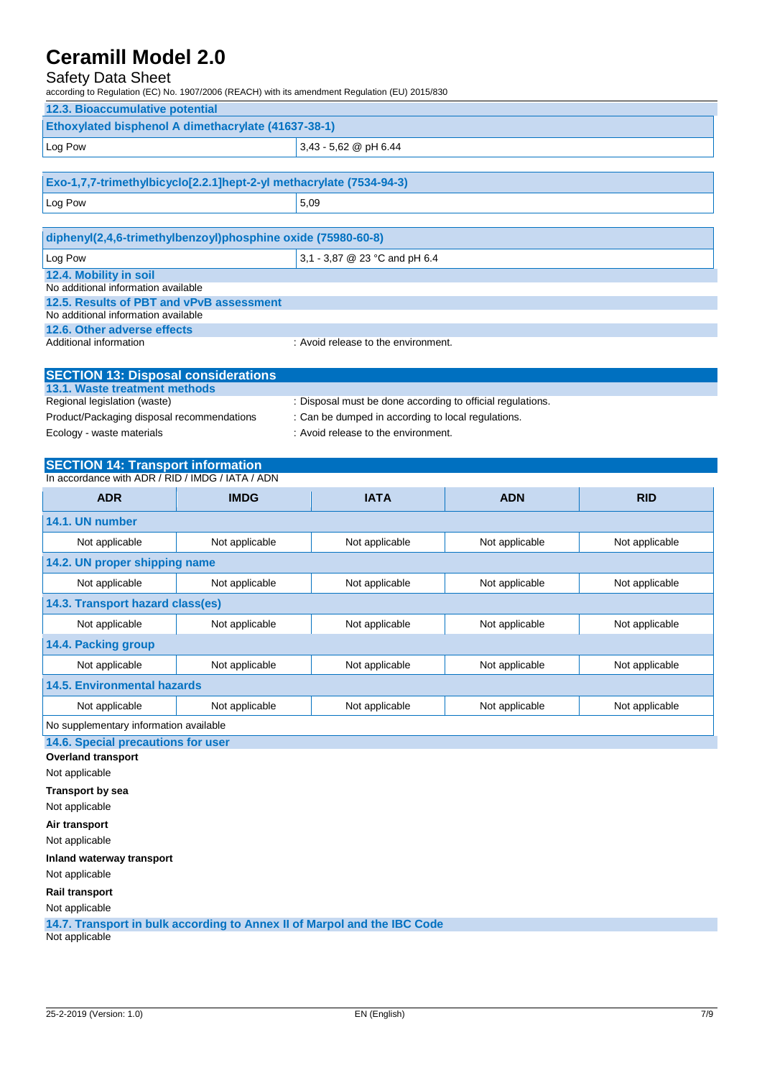# Safety Data Sheet

according to Regulation (EC) No. 1907/2006 (REACH) with its amendment Regulation (EU) 2015/830

| according to Regulation (EC) No. 1907/2006 (REACH) with its amendment Regulation (EU) 2015/830 |                                                              |                                                                          |                |                |
|------------------------------------------------------------------------------------------------|--------------------------------------------------------------|--------------------------------------------------------------------------|----------------|----------------|
| 12.3. Bioaccumulative potential                                                                |                                                              |                                                                          |                |                |
| Ethoxylated bisphenol A dimethacrylate (41637-38-1)                                            |                                                              |                                                                          |                |                |
| Log Pow<br>3,43 - 5,62 @ pH 6.44                                                               |                                                              |                                                                          |                |                |
| Exo-1,7,7-trimethylbicyclo[2.2.1]hept-2-yl methacrylate (7534-94-3)                            |                                                              |                                                                          |                |                |
|                                                                                                |                                                              |                                                                          |                |                |
|                                                                                                | 5,09<br>Log Pow                                              |                                                                          |                |                |
|                                                                                                | diphenyl(2,4,6-trimethylbenzoyl)phosphine oxide (75980-60-8) |                                                                          |                |                |
| 3,1 - 3,87 @ 23 °C and pH 6.4<br>Log Pow                                                       |                                                              |                                                                          |                |                |
| 12.4. Mobility in soil                                                                         |                                                              |                                                                          |                |                |
| No additional information available                                                            |                                                              |                                                                          |                |                |
| 12.5. Results of PBT and vPvB assessment<br>No additional information available                |                                                              |                                                                          |                |                |
| 12.6. Other adverse effects                                                                    |                                                              |                                                                          |                |                |
| Additional information                                                                         |                                                              | : Avoid release to the environment.                                      |                |                |
|                                                                                                |                                                              |                                                                          |                |                |
| <b>SECTION 13: Disposal considerations</b>                                                     |                                                              |                                                                          |                |                |
| 13.1. Waste treatment methods<br>Regional legislation (waste)                                  |                                                              | : Disposal must be done according to official regulations.               |                |                |
| Product/Packaging disposal recommendations                                                     |                                                              | : Can be dumped in according to local regulations.                       |                |                |
| Ecology - waste materials                                                                      |                                                              | : Avoid release to the environment.                                      |                |                |
|                                                                                                |                                                              |                                                                          |                |                |
| <b>SECTION 14: Transport information</b>                                                       |                                                              |                                                                          |                |                |
| In accordance with ADR / RID / IMDG / IATA / ADN                                               |                                                              |                                                                          |                |                |
| <b>ADR</b>                                                                                     | <b>IMDG</b>                                                  | <b>IATA</b>                                                              | <b>ADN</b>     | <b>RID</b>     |
| 14.1. UN number                                                                                |                                                              |                                                                          |                |                |
| Not applicable                                                                                 | Not applicable                                               | Not applicable                                                           | Not applicable | Not applicable |
| 14.2. UN proper shipping name                                                                  |                                                              |                                                                          |                |                |
| Not applicable                                                                                 | Not applicable                                               | Not applicable                                                           | Not applicable | Not applicable |
| 14.3. Transport hazard class(es)                                                               |                                                              |                                                                          |                |                |
| Not applicable                                                                                 | Not applicable                                               | Not applicable                                                           | Not applicable | Not applicable |
| 14.4. Packing group                                                                            |                                                              |                                                                          |                |                |
| Not applicable                                                                                 | Not applicable                                               | Not applicable                                                           | Not applicable | Not applicable |
|                                                                                                |                                                              |                                                                          |                |                |
| <b>14.5. Environmental hazards</b>                                                             |                                                              |                                                                          |                |                |
| Not applicable                                                                                 | Not applicable                                               | Not applicable                                                           | Not applicable | Not applicable |
| No supplementary information available                                                         |                                                              |                                                                          |                |                |
| 14.6. Special precautions for user                                                             |                                                              |                                                                          |                |                |
| <b>Overland transport</b>                                                                      |                                                              |                                                                          |                |                |
| Not applicable                                                                                 |                                                              |                                                                          |                |                |
| Transport by sea                                                                               |                                                              |                                                                          |                |                |
| Not applicable                                                                                 |                                                              |                                                                          |                |                |
| Air transport                                                                                  |                                                              |                                                                          |                |                |
| Not applicable                                                                                 |                                                              |                                                                          |                |                |
| Inland waterway transport                                                                      |                                                              |                                                                          |                |                |
| Not applicable                                                                                 |                                                              |                                                                          |                |                |
| <b>Rail transport</b>                                                                          |                                                              |                                                                          |                |                |
| Not applicable                                                                                 |                                                              |                                                                          |                |                |
| Not applicable                                                                                 |                                                              | 14.7. Transport in bulk according to Annex II of Marpol and the IBC Code |                |                |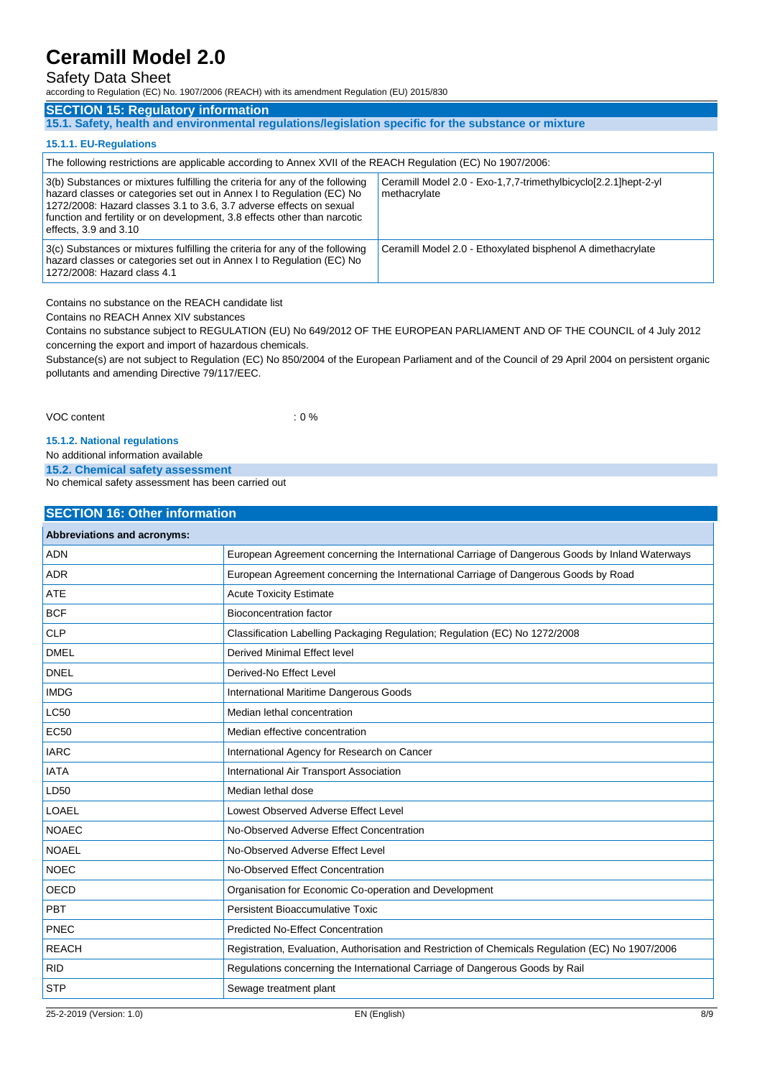### Safety Data Sheet

according to Regulation (EC) No. 1907/2006 (REACH) with its amendment Regulation (EU) 2015/830

### **SECTION 15: Regulatory information**

**15.1. Safety, health and environmental regulations/legislation specific for the substance or mixture**

#### **15.1.1. EU-Regulations**

| The following restrictions are applicable according to Annex XVII of the REACH Regulation (EC) No 1907/2006:                                                                                                                                                                                                                           |                                                                                 |  |
|----------------------------------------------------------------------------------------------------------------------------------------------------------------------------------------------------------------------------------------------------------------------------------------------------------------------------------------|---------------------------------------------------------------------------------|--|
| 3(b) Substances or mixtures fulfilling the criteria for any of the following<br>hazard classes or categories set out in Annex I to Regulation (EC) No<br>1272/2008: Hazard classes 3.1 to 3.6, 3.7 adverse effects on sexual<br>function and fertility or on development, 3.8 effects other than narcotic<br>effects, $3.9$ and $3.10$ | Ceramill Model 2.0 - Exo-1,7,7-trimethylbicyclo[2.2.1]hept-2-yl<br>methacrylate |  |
| 3(c) Substances or mixtures fulfilling the criteria for any of the following<br>hazard classes or categories set out in Annex I to Regulation (EC) No<br>1272/2008: Hazard class 4.1                                                                                                                                                   | Ceramill Model 2.0 - Ethoxylated bisphenol A dimethacrylate                     |  |

Contains no substance on the REACH candidate list

Contains no REACH Annex XIV substances

Contains no substance subject to REGULATION (EU) No 649/2012 OF THE EUROPEAN PARLIAMENT AND OF THE COUNCIL of 4 July 2012 concerning the export and import of hazardous chemicals.

Substance(s) are not subject to Regulation (EC) No 850/2004 of the European Parliament and of the Council of 29 April 2004 on persistent organic pollutants and amending Directive 79/117/EEC.

VOC content : 0 %

**15.1.2. National regulations**

No additional information available

**15.2. Chemical safety assessment**

No chemical safety assessment has been carried out

### **SECTION 16: Other information**

| <b>Abbreviations and acronyms:</b> |                                                                                                   |
|------------------------------------|---------------------------------------------------------------------------------------------------|
| <b>ADN</b>                         | European Agreement concerning the International Carriage of Dangerous Goods by Inland Waterways   |
| <b>ADR</b>                         | European Agreement concerning the International Carriage of Dangerous Goods by Road               |
| <b>ATE</b>                         | <b>Acute Toxicity Estimate</b>                                                                    |
| <b>BCF</b>                         | <b>Bioconcentration factor</b>                                                                    |
| <b>CLP</b>                         | Classification Labelling Packaging Regulation; Regulation (EC) No 1272/2008                       |
| <b>DMEL</b>                        | Derived Minimal Effect level                                                                      |
| <b>DNEL</b>                        | Derived-No Effect Level                                                                           |
| <b>IMDG</b>                        | International Maritime Dangerous Goods                                                            |
| <b>LC50</b>                        | Median lethal concentration                                                                       |
| <b>EC50</b>                        | Median effective concentration                                                                    |
| <b>IARC</b>                        | International Agency for Research on Cancer                                                       |
| <b>IATA</b>                        | International Air Transport Association                                                           |
| LD50                               | Median lethal dose                                                                                |
| <b>LOAEL</b>                       | Lowest Observed Adverse Effect Level                                                              |
| <b>NOAEC</b>                       | No-Observed Adverse Effect Concentration                                                          |
| <b>NOAEL</b>                       | No-Observed Adverse Effect Level                                                                  |
| <b>NOEC</b>                        | No-Observed Effect Concentration                                                                  |
| <b>OECD</b>                        | Organisation for Economic Co-operation and Development                                            |
| <b>PBT</b>                         | <b>Persistent Bioaccumulative Toxic</b>                                                           |
| PNEC                               | <b>Predicted No-Effect Concentration</b>                                                          |
| <b>REACH</b>                       | Registration, Evaluation, Authorisation and Restriction of Chemicals Regulation (EC) No 1907/2006 |
| <b>RID</b>                         | Regulations concerning the International Carriage of Dangerous Goods by Rail                      |
| <b>STP</b>                         | Sewage treatment plant                                                                            |